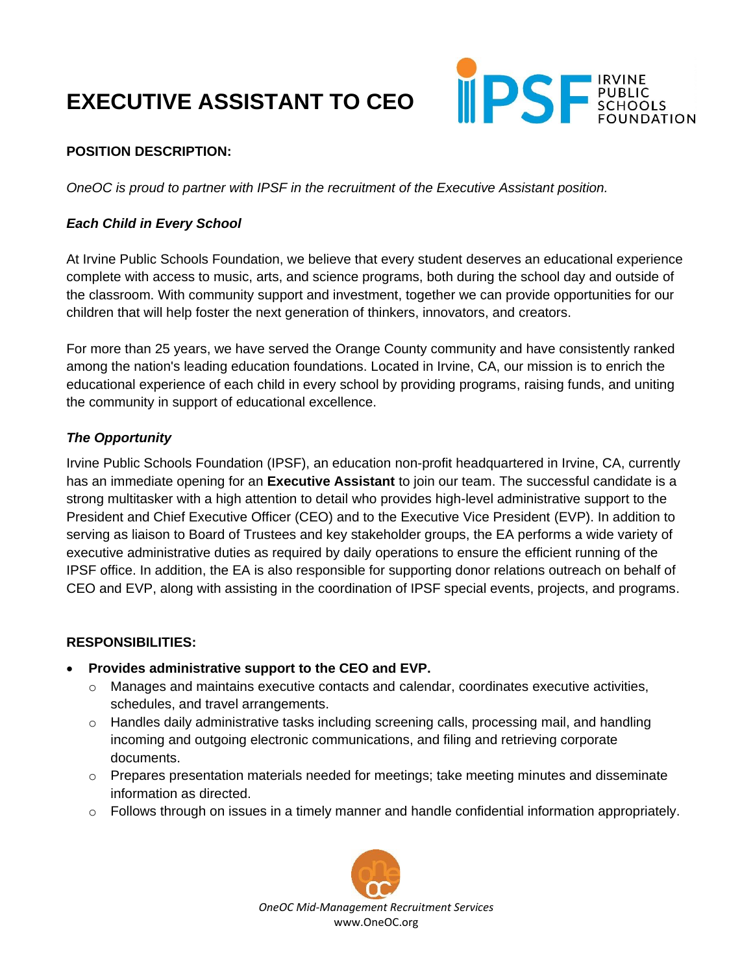# **EXECUTIVE ASSISTANT TO CEO**



## **POSITION DESCRIPTION:**

*OneOC is proud to partner with IPSF in the recruitment of the Executive Assistant position.*

## *Each Child in Every School*

At Irvine Public Schools Foundation, we believe that every student deserves an educational experience complete with access to music, arts, and science programs, both during the school day and outside of the classroom. With community support and investment, together we can provide opportunities for our children that will help foster the next generation of thinkers, innovators, and creators.

For more than 25 years, we have served the Orange County community and have consistently ranked among the nation's leading education foundations. Located in Irvine, CA, our mission is to enrich the educational experience of each child in every school by providing programs, raising funds, and uniting the community in support of educational excellence.

### *The Opportunity*

Irvine Public Schools Foundation (IPSF), an education non-profit headquartered in Irvine, CA, currently has an immediate opening for an **Executive Assistant** to join our team. The successful candidate is a strong multitasker with a high attention to detail who provides high-level administrative support to the President and Chief Executive Officer (CEO) and to the Executive Vice President (EVP). In addition to serving as liaison to Board of Trustees and key stakeholder groups, the EA performs a wide variety of executive administrative duties as required by daily operations to ensure the efficient running of the IPSF office. In addition, the EA is also responsible for supporting donor relations outreach on behalf of CEO and EVP, along with assisting in the coordination of IPSF special events, projects, and programs.

#### **RESPONSIBILITIES:**

- **Provides administrative support to the CEO and EVP.**
	- $\circ$  Manages and maintains executive contacts and calendar, coordinates executive activities, schedules, and travel arrangements.
	- o Handles daily administrative tasks including screening calls, processing mail, and handling incoming and outgoing electronic communications, and filing and retrieving corporate documents.
	- $\circ$  Prepares presentation materials needed for meetings; take meeting minutes and disseminate information as directed.
	- o Follows through on issues in a timely manner and handle confidential information appropriately.